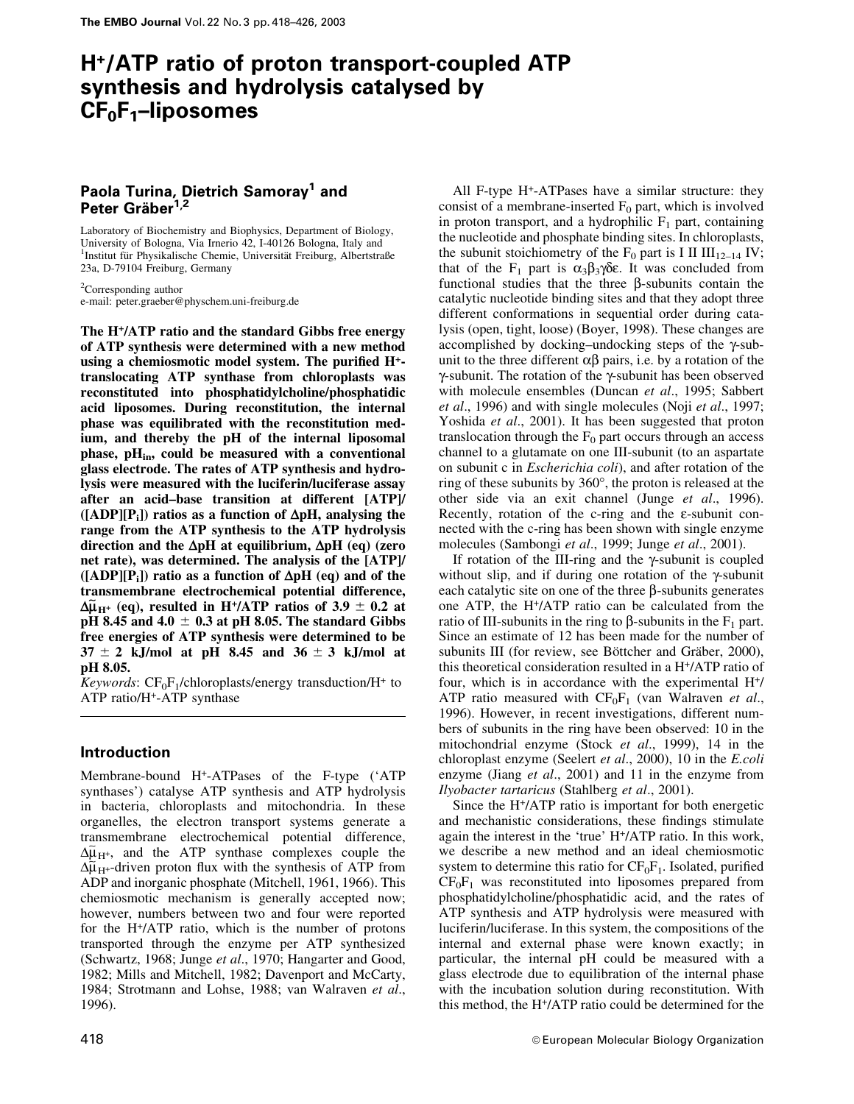# H+/ATP ratio of proton transport-coupled ATP synthesis and hydrolysis catalysed by  $CF<sub>0</sub>F<sub>1</sub>$ -liposomes

# Paola Turina, Dietrich Samoray<sup>1</sup> and Peter Gräber<sup>1,2</sup>

Laboratory of Biochemistry and Biophysics, Department of Biology, University of Bologna, Via Irnerio 42, I-40126 Bologna, Italy and <sup>1</sup>Institut für Physikalische Chemie, Universität Freiburg, Albertstraße 23a, D-79104 Freiburg, Germany

<sup>2</sup>Corresponding author e-mail: peter.graeber@physchem.uni-freiburg.de

The H+/ATP ratio and the standard Gibbs free energy of ATP synthesis were determined with a new method using a chemiosmotic model system. The purified  $H^+$ translocating ATP synthase from chloroplasts was reconstituted into phosphatidylcholine/phosphatidic acid liposomes. During reconstitution, the internal phase was equilibrated with the reconstitution medium, and thereby the pH of the internal liposomal phase,  $pH_{in}$ , could be measured with a conventional glass electrode. The rates of ATP synthesis and hydrolysis were measured with the luciferin/luciferase assay after an acid-base transition at different [ATP]/  $([ADP][P_i])$  ratios as a function of  $\Delta pH$ , analysing the range from the ATP synthesis to the ATP hydrolysis direction and the  $\Delta$ pH at equilibrium,  $\Delta$ pH (eq) (zero net rate), was determined. The analysis of the [ATP]/  $([ADP][P_i])$  ratio as a function of  $\Delta pH$  (eq) and of the transmembrane electrochemical potential difference,  $\Delta \tilde{\mu}_{H^+}$  (eq), resulted in H<sup>+</sup>/ATP ratios of 3.9  $\pm$  0.2 at pH 8.45 and 4.0  $\pm$  0.3 at pH 8.05. The standard Gibbs free energies of ATP synthesis were determined to be  $37 \pm 2$  kJ/mol at pH 8.45 and  $36 \pm 3$  kJ/mol at pH 8.05.

Keywords:  $CF_0F_1$ /chloroplasts/energy transduction/H<sup>+</sup> to ATP ratio/H+-ATP synthase

# Introduction

Membrane-bound H+-ATPases of the F-type (`ATP synthases') catalyse ATP synthesis and ATP hydrolysis in bacteria, chloroplasts and mitochondria. In these organelles, the electron transport systems generate a transmembrane electrochemical potential difference,  $\Delta \tilde{\mu}_{H^+}$ , and the ATP synthase complexes couple the  $\Delta \tilde{\mu}_{H^+}$ -driven proton flux with the synthesis of ATP from ADP and inorganic phosphate (Mitchell, 1961, 1966). This chemiosmotic mechanism is generally accepted now; however, numbers between two and four were reported for the H+/ATP ratio, which is the number of protons transported through the enzyme per ATP synthesized (Schwartz, 1968; Junge et al., 1970; Hangarter and Good, 1982; Mills and Mitchell, 1982; Davenport and McCarty, 1984; Strotmann and Lohse, 1988; van Walraven et al., 1996).

All F-type H+-ATPases have a similar structure: they consist of a membrane-inserted  $F_0$  part, which is involved in proton transport, and a hydrophilic  $F_1$  part, containing the nucleotide and phosphate binding sites. In chloroplasts, the subunit stoichiometry of the  $F_0$  part is I II  $III_{12-14}$  IV; that of the  $F_1$  part is  $\alpha_3\beta_3\gamma\delta\epsilon$ . It was concluded from functional studies that the three  $\beta$ -subunits contain the catalytic nucleotide binding sites and that they adopt three different conformations in sequential order during catalysis (open, tight, loose) (Boyer, 1998). These changes are accomplished by docking-undocking steps of the  $\gamma$ -subunit to the three different  $\alpha\beta$  pairs, i.e. by a rotation of the  $\gamma$ -subunit. The rotation of the  $\gamma$ -subunit has been observed with molecule ensembles (Duncan et al., 1995; Sabbert et al., 1996) and with single molecules (Noji et al., 1997; Yoshida et al., 2001). It has been suggested that proton translocation through the  $F_0$  part occurs through an access channel to a glutamate on one III-subunit (to an aspartate on subunit c in Escherichia coli), and after rotation of the ring of these subunits by 360°, the proton is released at the other side via an exit channel (Junge et al., 1996). Recently, rotation of the c-ring and the  $\varepsilon$ -subunit connected with the c-ring has been shown with single enzyme molecules (Sambongi et al., 1999; Junge et al., 2001).

If rotation of the III-ring and the  $\gamma$ -subunit is coupled without slip, and if during one rotation of the  $\gamma$ -subunit each catalytic site on one of the three  $\beta$ -subunits generates one ATP, the H+/ATP ratio can be calculated from the ratio of III-subunits in the ring to  $\beta$ -subunits in the  $F_1$  part. Since an estimate of 12 has been made for the number of subunits III (for review, see Böttcher and Gräber, 2000), this theoretical consideration resulted in a H+/ATP ratio of four, which is in accordance with the experimental H+/ ATP ratio measured with  $CF_0F_1$  (van Walraven et al., 1996). However, in recent investigations, different numbers of subunits in the ring have been observed: 10 in the mitochondrial enzyme (Stock et al., 1999), 14 in the chloroplast enzyme (Seelert et al., 2000), 10 in the E.coli enzyme (Jiang et al., 2001) and 11 in the enzyme from Ilyobacter tartaricus (Stahlberg et al., 2001).

Since the H+/ATP ratio is important for both energetic and mechanistic considerations, these findings stimulate again the interest in the `true' H+/ATP ratio. In this work, we describe a new method and an ideal chemiosmotic system to determine this ratio for  $CF_0F_1$ . Isolated, purified  $CF_0F_1$  was reconstituted into liposomes prepared from phosphatidylcholine/phosphatidic acid, and the rates of ATP synthesis and ATP hydrolysis were measured with luciferin/luciferase. In this system, the compositions of the internal and external phase were known exactly; in particular, the internal pH could be measured with a glass electrode due to equilibration of the internal phase with the incubation solution during reconstitution. With this method, the H+/ATP ratio could be determined for the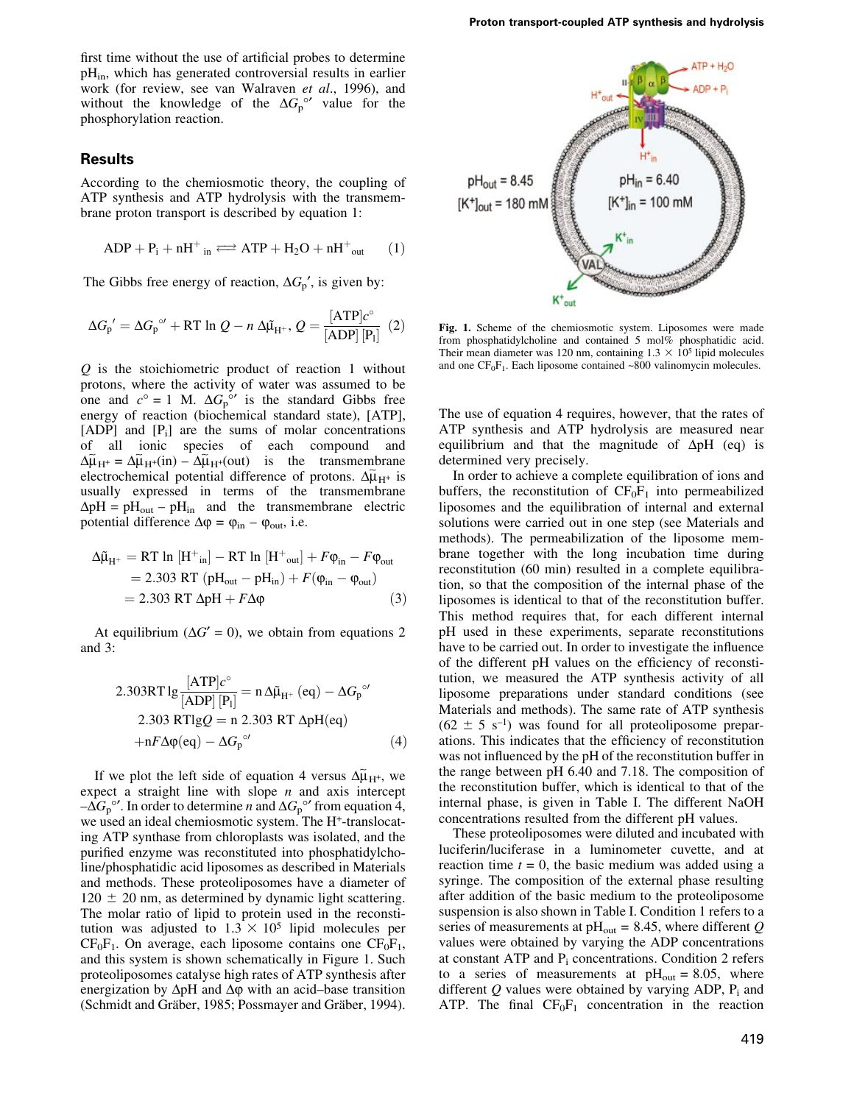first time without the use of artificial probes to determine pH<sub>in</sub>, which has generated controversial results in earlier work (for review, see van Walraven et al., 1996), and without the knowledge of the  $\Delta G_p^{\circ\prime}$  value for the phosphorylation reaction.

# Results

According to the chemiosmotic theory, the coupling of ATP synthesis and ATP hydrolysis with the transmembrane proton transport is described by equation 1:

$$
ADP + P_i + nH^+_{in} \Longleftrightarrow ATP + H_2O + nH^+_{out} \qquad (1)
$$

The Gibbs free energy of reaction,  $\Delta G_{p}^{\prime}$ , is given by:

$$
\Delta G_{\mathbf{p}}' = \Delta G_{\mathbf{p}}^{\circ\prime} + RT \ln Q - n \Delta \tilde{\mu}_{\mathbf{H}^+}, Q = \frac{[ATP]c^{\circ}}{[ADP][P_1]} (2)
$$

Q is the stoichiometric product of reaction 1 without protons, where the activity of water was assumed to be one and  $c^{\circ} = 1$  M.  $\Delta G_p^{\circ}$  is the standard Gibbs free energy of reaction (biochemical standard state), [ATP],  $[ADP]$  and  $[P_i]$  are the sums of molar concentrations of all ionic species of each compound and  $\Delta \tilde{\mu}_{H^{+}} = \Delta \tilde{\mu}_{H^{+}}(in) - \Delta \tilde{\mu}_{H^{+}}(out)$  is the transmembrane  $\frac{d\mu_{\text{H}}}{dt} = \frac{d\mu_{\text{H}}}{dt}$  is the dimensionleand electrochemical potential difference of protons.  $\Delta \tilde{\mu}_{\text{H}}$  is usually expressed in terms of the transmembrane  $\Delta pH = pH_{out} - pH_{in}$  and the transmembrane electric potential difference  $\Delta \varphi = \varphi_{\text{in}} - \varphi_{\text{out}}$ , i.e.

$$
\Delta \tilde{\mu}_{H^+} = RT \ln \left[ H^+_{\text{in}} \right] - RT \ln \left[ H^+_{\text{out}} \right] + F \varphi_{\text{in}} - F \varphi_{\text{out}}
$$
  
= 2.303 RT (pH<sub>out</sub> - pH<sub>in</sub>) + F(\varphi\_{\text{in}} - \varphi\_{\text{out}})  
= 2.303 RT \Delta pH + F \Delta \varphi (3)

At equilibrium ( $\Delta G' = 0$ ), we obtain from equations 2 and 3:

$$
2.303RT \lg \frac{[ATP]c^{\circ}}{[ADP] [P_1]} = n \Delta \tilde{\mu}_{H^+} (eq) - \Delta G_p^{\circ\prime}
$$
  
2.303 RTlgQ = n 2.303 RT ΔpH(eq)  
+nFΔφ(eq) - ΔG\_p^{\circ\prime} (4)

If we plot the left side of equation 4 versus  $\Delta \tilde{\mu}_{H^+}$ , we expect a straight line with slope  $n$  and axis intercept  $-\Delta G_p^{\circ}$ . In order to determine *n* and  $\Delta G_p^{\circ}$  from equation 4, we used an ideal chemiosmotic system. The H<sup>+</sup>-translocating ATP synthase from chloroplasts was isolated, and the purified enzyme was reconstituted into phosphatidylcholine/phosphatidic acid liposomes as described in Materials and methods. These proteoliposomes have a diameter of  $120 \pm 20$  nm, as determined by dynamic light scattering. The molar ratio of lipid to protein used in the reconstitution was adjusted to  $1.3 \times 10^5$  lipid molecules per  $CF_0F_1$ . On average, each liposome contains one  $CF_0F_1$ , and this system is shown schematically in Figure 1. Such proteoliposomes catalyse high rates of ATP synthesis after energization by  $\Delta pH$  and  $\Delta \varphi$  with an acid-base transition (Schmidt and Gräber, 1985; Possmayer and Gräber, 1994).



Fig. 1. Scheme of the chemiosmotic system. Liposomes were made from phosphatidylcholine and contained 5 mol% phosphatidic acid. Their mean diameter was 120 nm, containing  $1.3 \times 10^5$  lipid molecules and one  $CF_0F_1$ . Each liposome contained ~800 valinomycin molecules.

The use of equation 4 requires, however, that the rates of ATP synthesis and ATP hydrolysis are measured near equilibrium and that the magnitude of  $\Delta pH$  (eq) is determined very precisely.

In order to achieve a complete equilibration of ions and buffers, the reconstitution of  $CF_0F_1$  into permeabilized liposomes and the equilibration of internal and external solutions were carried out in one step (see Materials and methods). The permeabilization of the liposome membrane together with the long incubation time during reconstitution (60 min) resulted in a complete equilibration, so that the composition of the internal phase of the liposomes is identical to that of the reconstitution buffer. This method requires that, for each different internal pH used in these experiments, separate reconstitutions have to be carried out. In order to investigate the influence of the different pH values on the efficiency of reconstitution, we measured the ATP synthesis activity of all liposome preparations under standard conditions (see Materials and methods). The same rate of ATP synthesis  $(62 \pm 5 \text{ s}^{-1})$  was found for all proteoliposome preparations. This indicates that the efficiency of reconstitution was not influenced by the pH of the reconstitution buffer in the range between pH 6.40 and 7.18. The composition of the reconstitution buffer, which is identical to that of the internal phase, is given in Table I. The different NaOH concentrations resulted from the different pH values.

These proteoliposomes were diluted and incubated with luciferin/luciferase in a luminometer cuvette, and at reaction time  $t = 0$ , the basic medium was added using a syringe. The composition of the external phase resulting after addition of the basic medium to the proteoliposome suspension is also shown in Table I. Condition 1 refers to a series of measurements at  $pH_{out} = 8.45$ , where different Q values were obtained by varying the ADP concentrations at constant ATP and  $P_i$  concentrations. Condition 2 refers to a series of measurements at  $pH<sub>out</sub> = 8.05$ , where different  $Q$  values were obtained by varying ADP,  $P_i$  and ATP. The final  $CF_0F_1$  concentration in the reaction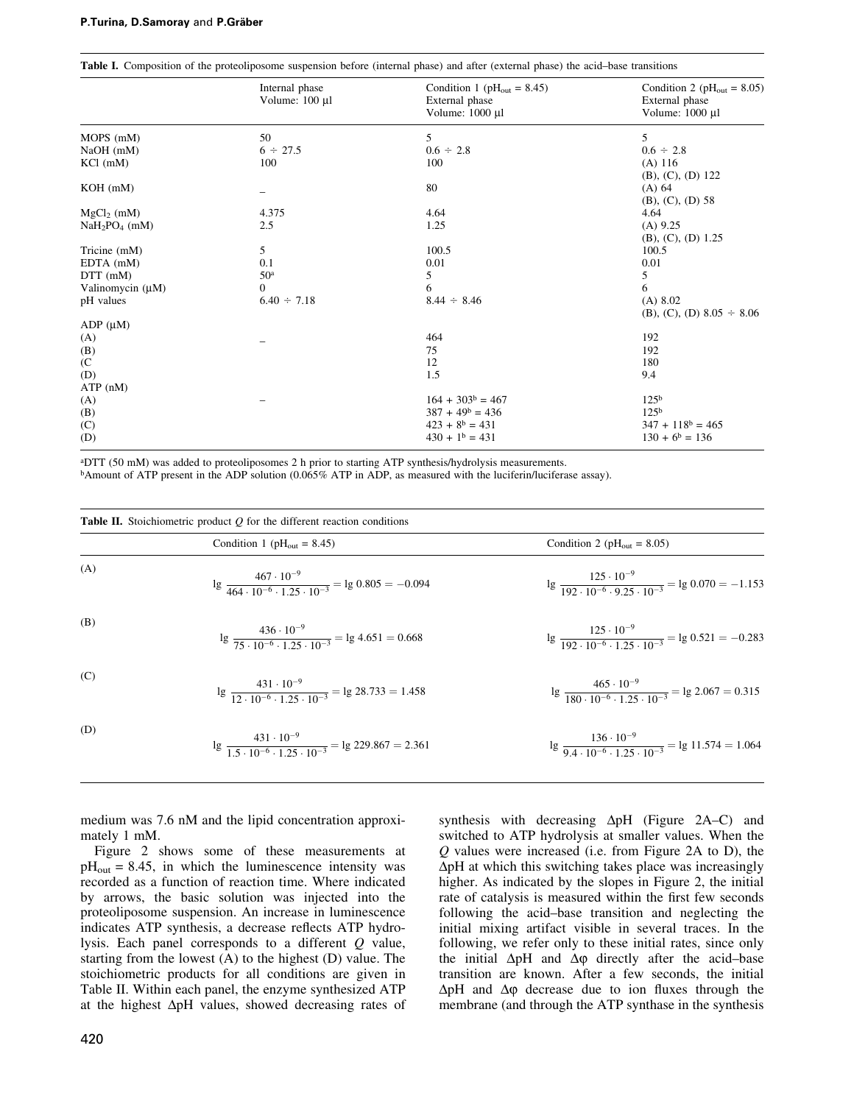|                       | <b>Table 1.</b> Composition of the proteoliposome suspension before (internal phase) and after (external phase) the acid-base transitions |                                          |                                          |  |  |
|-----------------------|-------------------------------------------------------------------------------------------------------------------------------------------|------------------------------------------|------------------------------------------|--|--|
|                       | Internal phase                                                                                                                            | Condition 1 ( $pH_{\text{out}} = 8.45$ ) | Condition 2 ( $pH_{\text{out}} = 8.05$ ) |  |  |
|                       | Volume: $100 \mu l$                                                                                                                       | External phase                           | External phase                           |  |  |
|                       |                                                                                                                                           | Volume: 1000 µl                          | Volume: 1000 µ1                          |  |  |
| MOPS (mM)             | 50                                                                                                                                        | 5                                        | 5                                        |  |  |
| $NaOH$ (mM)           | $6 \div 27.5$                                                                                                                             | $0.6 \div 2.8$                           | $0.6 \div 2.8$                           |  |  |
| $KCl$ (mM)            | 100                                                                                                                                       | 100                                      | $(A)$ 116                                |  |  |
|                       |                                                                                                                                           |                                          | $(B), (C), (D)$ 122                      |  |  |
| $KOH$ (mM)            |                                                                                                                                           | 80                                       | (A) 64                                   |  |  |
|                       |                                                                                                                                           |                                          | $(B), (C), (D)$ 58                       |  |  |
| $MgCl2$ (mM)          | 4.375                                                                                                                                     | 4.64                                     | 4.64                                     |  |  |
| $NaH2PO4$ (mM)        | 2.5                                                                                                                                       | 1.25                                     | $(A)$ 9.25                               |  |  |
|                       |                                                                                                                                           |                                          | $(B), (C), (D)$ 1.25                     |  |  |
| Tricine (mM)          | 5                                                                                                                                         | 100.5                                    | 100.5                                    |  |  |
| $EDTA$ (mM)           | 0.1                                                                                                                                       | 0.01                                     | 0.01                                     |  |  |
| $DTT$ (mM)            | 50 <sup>a</sup>                                                                                                                           | 5                                        | 5                                        |  |  |
| Valinomycin $(\mu M)$ | $\Omega$                                                                                                                                  | 6                                        | 6                                        |  |  |
| pH values             | $6.40 \div 7.18$                                                                                                                          | $8.44 \div 8.46$                         | (A) 8.02                                 |  |  |
|                       |                                                                                                                                           |                                          | (B), (C), (D) $8.05 \div 8.06$           |  |  |
| $ADP(\mu M)$          |                                                                                                                                           |                                          |                                          |  |  |
| (A)                   |                                                                                                                                           | 464                                      | 192                                      |  |  |
| (B)                   |                                                                                                                                           | 75                                       | 192                                      |  |  |
| (C <sub>0</sub> )     |                                                                                                                                           | 12                                       | 180                                      |  |  |
| (D)                   |                                                                                                                                           | 1.5                                      | 9.4                                      |  |  |
| ATP(nM)               |                                                                                                                                           |                                          |                                          |  |  |
| (A)                   |                                                                                                                                           | $164 + 303^b = 467$                      | 125 <sup>b</sup>                         |  |  |
| (B)                   |                                                                                                                                           | $387 + 49^b = 436$                       | 125 <sup>b</sup>                         |  |  |
| (C)                   |                                                                                                                                           | $423 + 8b = 431$                         | $347 + 118^b = 465$                      |  |  |
| (D)                   |                                                                                                                                           | $430 + 1b = 431$                         | $130 + 6^b = 136$                        |  |  |

Table I. Composition of the proteoliposome suspension before (internal phase) and after (external phase) the acid–base transitions

aDTT (50 mM) was added to proteoliposomes 2 h prior to starting ATP synthesis/hydrolysis measurements.

bAmount of ATP present in the ADP solution (0.065% ATP in ADP, as measured with the luciferin/luciferase assay).

| <b>Table II.</b> Stoichiometric product $Q$ for the different reaction conditions |                                                                                                  |                                                                                                 |  |  |  |
|-----------------------------------------------------------------------------------|--------------------------------------------------------------------------------------------------|-------------------------------------------------------------------------------------------------|--|--|--|
|                                                                                   | Condition 1 ( $pH_{\text{out}} = 8.45$ )                                                         | Condition 2 ( $pH_{\text{out}} = 8.05$ )                                                        |  |  |  |
| (A)                                                                               | $\lg \frac{467 \cdot 10^{-9}}{464 \cdot 10^{-6} \cdot 1.25 \cdot 10^{-3}} = \lg 0.805 = -0.094$  | $\lg \frac{125 \cdot 10^{-9}}{192 \cdot 10^{-6} \cdot 9.25 \cdot 10^{-3}} = \lg 0.070 = -1.153$ |  |  |  |
| (B)                                                                               | $lg \frac{436 \cdot 10^{-9}}{75 \cdot 10^{-6} \cdot 1.25 \cdot 10^{-3}} = lg 4.651 = 0.668$      | $\lg \frac{125 \cdot 10^{-9}}{102 \cdot 10^{-6} \cdot 1.25 \cdot 10^{-3}} = \lg 0.521 = -0.283$ |  |  |  |
| (C)                                                                               | $\lg \frac{431 \cdot 10^{-9}}{12.10^{-6} - 1.25 \cdot 10^{-3}} = \lg 28.733 = 1.458$             | $\lg \frac{465 \cdot 10^{-9}}{100 \cdot 10^{-6} \cdot 1.25 \cdot 10^{-3}} = \lg 2.067 = 0.315$  |  |  |  |
| (D)                                                                               | $\lg \frac{431 \cdot 10^{-9}}{1.5 \cdot 10^{-6} \cdot 1.25 \cdot 10^{-3}} = \lg 229.867 = 2.361$ | $\lg \frac{136 \cdot 10^{-9}}{0.4 \cdot 10^{-6} \cdot 1.25 \cdot 10^{-3}} = \lg 11.574 = 1.064$ |  |  |  |

medium was 7.6 nM and the lipid concentration approximately 1 mM.

Figure 2 shows some of these measurements at  $pH<sub>out</sub> = 8.45$ , in which the luminescence intensity was recorded as a function of reaction time. Where indicated by arrows, the basic solution was injected into the proteoliposome suspension. An increase in luminescence indicates ATP synthesis, a decrease reflects ATP hydrolysis. Each panel corresponds to a different Q value, starting from the lowest (A) to the highest (D) value. The stoichiometric products for all conditions are given in Table II. Within each panel, the enzyme synthesized ATP at the highest  $\Delta pH$  values, showed decreasing rates of

420

synthesis with decreasing  $\Delta pH$  (Figure 2A–C) and switched to ATP hydrolysis at smaller values. When the Q values were increased (i.e. from Figure 2A to D), the  $\Delta$ pH at which this switching takes place was increasingly higher. As indicated by the slopes in Figure 2, the initial rate of catalysis is measured within the first few seconds following the acid-base transition and neglecting the initial mixing artifact visible in several traces. In the following, we refer only to these initial rates, since only the initial  $\Delta pH$  and  $\Delta \varphi$  directly after the acid-base transition are known. After a few seconds, the initial  $\Delta pH$  and  $\Delta \varphi$  decrease due to ion fluxes through the membrane (and through the ATP synthase in the synthesis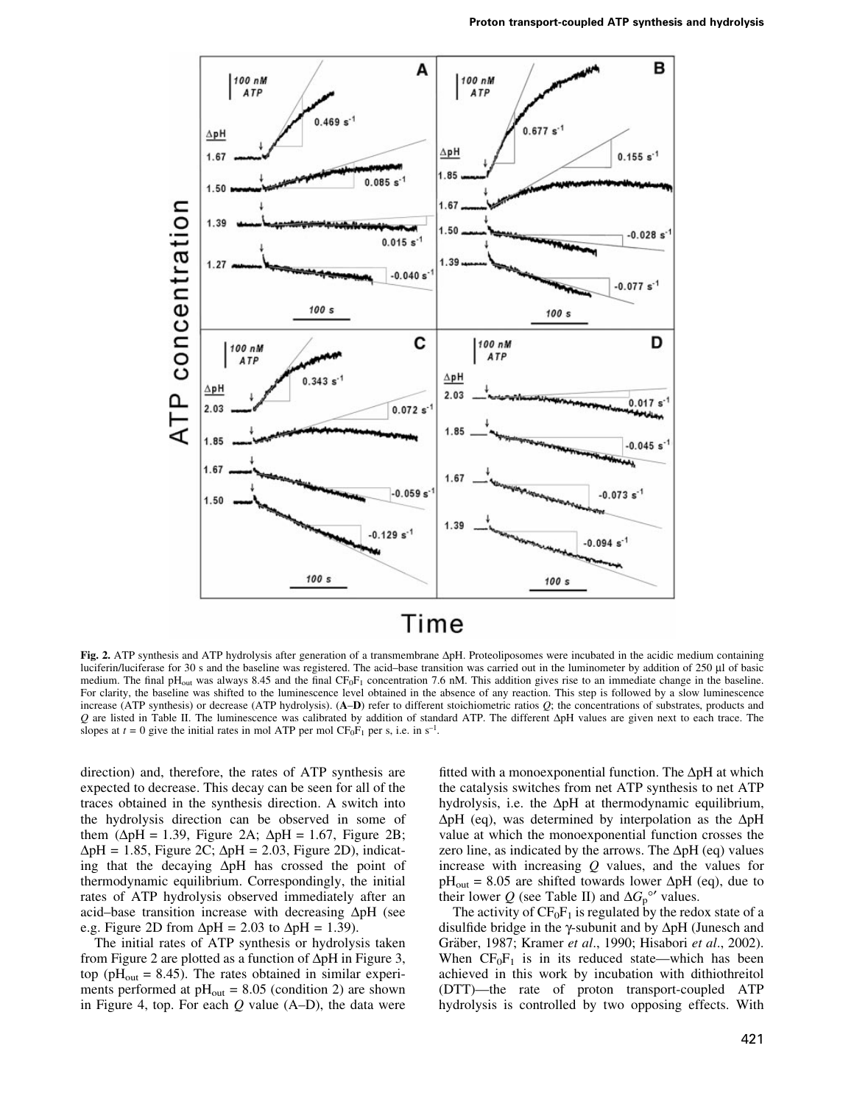

# Time

Fig. 2. ATP synthesis and ATP hydrolysis after generation of a transmembrane  $\Delta pH$ . Proteoliposomes were incubated in the acidic medium containing luciferin/luciferase for 30 s and the baseline was registered. The acid-base transition was carried out in the luminometer by addition of 250 µl of basic medium. The final pH<sub>out</sub> was always 8.45 and the final  $CF_0F_1$  concentration 7.6 nM. This addition gives rise to an immediate change in the baseline. For clarity, the baseline was shifted to the luminescence level obtained in the absence of any reaction. This step is followed by a slow luminescence increase (ATP synthesis) or decrease (ATP hydrolysis). (A-D) refer to different stoichiometric ratios Q; the concentrations of substrates, products and  $Q$  are listed in Table II. The luminescence was calibrated by addition of standard ATP. The different  $\Delta pH$  values are given next to each trace. The slopes at  $t = 0$  give the initial rates in mol ATP per mol CF<sub>0</sub>F<sub>1</sub> per s, i.e. in s<sup>-1</sup>.

direction) and, therefore, the rates of ATP synthesis are expected to decrease. This decay can be seen for all of the traces obtained in the synthesis direction. A switch into the hydrolysis direction can be observed in some of them ( $\Delta pH = 1.39$ , Figure 2A;  $\Delta pH = 1.67$ , Figure 2B;  $\Delta pH = 1.85$ , Figure 2C;  $\Delta pH = 2.03$ , Figure 2D), indicating that the decaying  $\Delta pH$  has crossed the point of thermodynamic equilibrium. Correspondingly, the initial rates of ATP hydrolysis observed immediately after an acid-base transition increase with decreasing  $\Delta pH$  (see e.g. Figure 2D from  $\Delta pH = 2.03$  to  $\Delta pH = 1.39$ ).

The initial rates of ATP synthesis or hydrolysis taken from Figure 2 are plotted as a function of  $\Delta$ pH in Figure 3, top ( $pH_{\text{out}} = 8.45$ ). The rates obtained in similar experiments performed at  $pH_{out} = 8.05$  (condition 2) are shown in Figure 4, top. For each  $Q$  value (A-D), the data were fitted with a monoexponential function. The  $\Delta pH$  at which the catalysis switches from net ATP synthesis to net ATP hydrolysis, i.e. the  $\Delta pH$  at thermodynamic equilibrium,  $\Delta pH$  (eq), was determined by interpolation as the  $\Delta pH$ value at which the monoexponential function crosses the zero line, as indicated by the arrows. The  $\Delta pH$  (eq) values increase with increasing  $Q$  values, and the values for  $pH<sub>out</sub> = 8.05$  are shifted towards lower  $\Delta pH$  (eq), due to their lower Q (see Table II) and  $\Delta G_p^{\circ\prime}$  values.

The activity of  $CF_0F_1$  is regulated by the redox state of a disulfide bridge in the  $\gamma$ -subunit and by  $\Delta pH$  (Junesch and Gräber, 1987; Kramer et al., 1990; Hisabori et al., 2002). When  $CF_0F_1$  is in its reduced state—which has been achieved in this work by incubation with dithiothreitol (DTT)-the rate of proton transport-coupled ATP hydrolysis is controlled by two opposing effects. With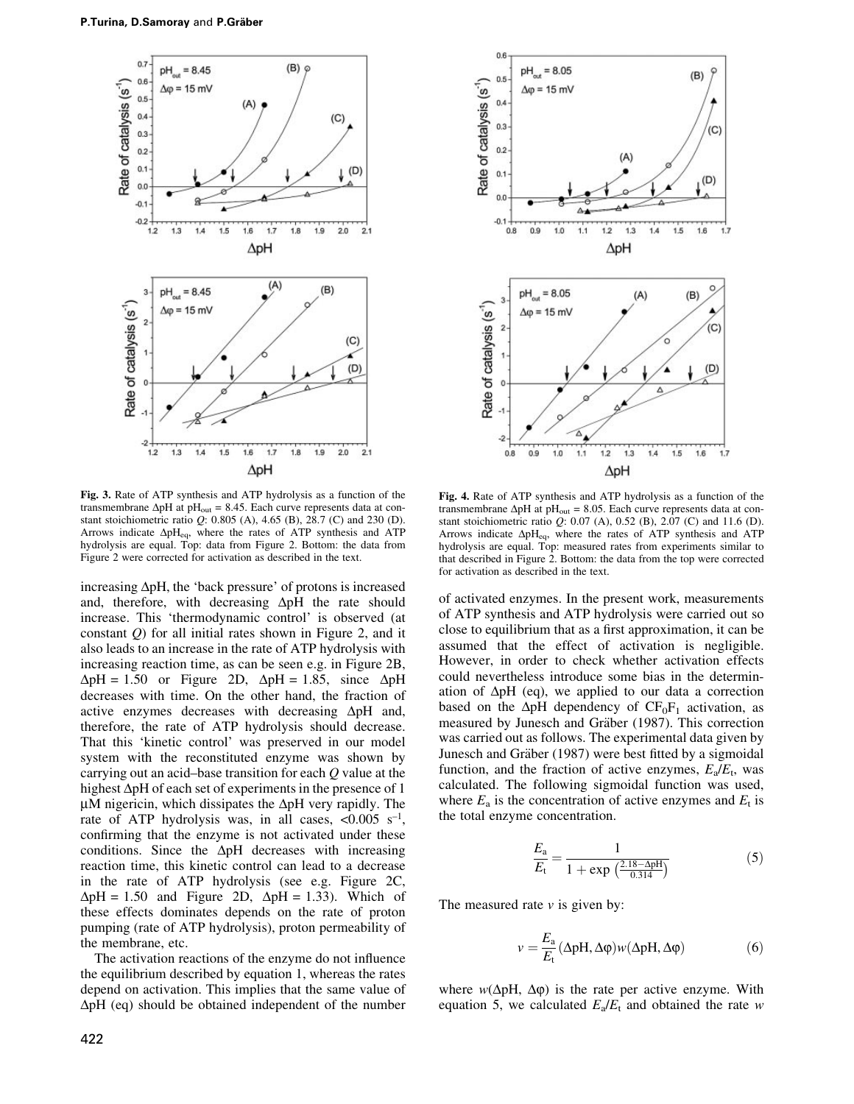

Fig. 3. Rate of ATP synthesis and ATP hydrolysis as a function of the transmembrane  $\Delta pH$  at  $pH_{out} = 8.45$ . Each curve represents data at constant stoichiometric ratio Q: 0.805 (A), 4.65 (B), 28.7 (C) and 230 (D). Arrows indicate  $\Delta pH_{eq}$ , where the rates of ATP synthesis and ATP hydrolysis are equal. Top: data from Figure 2. Bottom: the data from Figure 2 were corrected for activation as described in the text.

increasing  $\Delta pH$ , the 'back pressure' of protons is increased and, therefore, with decreasing  $\Delta pH$  the rate should increase. This `thermodynamic control' is observed (at constant  $Q$ ) for all initial rates shown in Figure 2, and it also leads to an increase in the rate of ATP hydrolysis with increasing reaction time, as can be seen e.g. in Figure 2B,  $\Delta pH = 1.50$  or Figure 2D,  $\Delta pH = 1.85$ , since  $\Delta pH$ decreases with time. On the other hand, the fraction of active enzymes decreases with decreasing  $\Delta pH$  and, therefore, the rate of ATP hydrolysis should decrease. That this 'kinetic control' was preserved in our model system with the reconstituted enzyme was shown by carrying out an acid-base transition for each  $Q$  value at the highest  $\Delta pH$  of each set of experiments in the presence of 1  $\mu$ M nigericin, which dissipates the  $\Delta$ pH very rapidly. The rate of ATP hydrolysis was, in all cases,  $\langle 0.005 \text{ s}^{-1} \rangle$ , confirming that the enzyme is not activated under these conditions. Since the  $\Delta pH$  decreases with increasing reaction time, this kinetic control can lead to a decrease in the rate of ATP hydrolysis (see e.g. Figure 2C,  $\Delta pH = 1.50$  and Figure 2D,  $\Delta pH = 1.33$ ). Which of these effects dominates depends on the rate of proton pumping (rate of ATP hydrolysis), proton permeability of the membrane, etc.

The activation reactions of the enzyme do not influence the equilibrium described by equation 1, whereas the rates depend on activation. This implies that the same value of  $\Delta$ pH (eq) should be obtained independent of the number



Fig. 4. Rate of ATP synthesis and ATP hydrolysis as a function of the transmembrane  $\Delta pH$  at  $pH_{out} = 8.05$ . Each curve represents data at constant stoichiometric ratio Q: 0.07 (A), 0.52 (B), 2.07 (C) and 11.6 (D). Arrows indicate  $\Delta pH_{eq}$ , where the rates of ATP synthesis and ATP hydrolysis are equal. Top: measured rates from experiments similar to that described in Figure 2. Bottom: the data from the top were corrected for activation as described in the text.

of activated enzymes. In the present work, measurements of ATP synthesis and ATP hydrolysis were carried out so close to equilibrium that as a first approximation, it can be assumed that the effect of activation is negligible. However, in order to check whether activation effects could nevertheless introduce some bias in the determination of  $\Delta pH$  (eq), we applied to our data a correction based on the  $\Delta pH$  dependency of  $CF_0F_1$  activation, as measured by Junesch and Gräber (1987). This correction was carried out as follows. The experimental data given by Junesch and Gräber (1987) were best fitted by a sigmoidal function, and the fraction of active enzymes,  $E_a/E_t$ , was calculated. The following sigmoidal function was used, where  $E_a$  is the concentration of active enzymes and  $E_t$  is the total enzyme concentration.

$$
\frac{E_{\rm a}}{E_{\rm t}} = \frac{1}{1 + \exp\left(\frac{2.18 - \Delta \rm pH}{0.314}\right)}\tag{5}
$$

The measured rate  $\nu$  is given by:

$$
v = \frac{E_a}{E_t} (\Delta p H, \Delta \varphi) w(\Delta p H, \Delta \varphi)
$$
 (6)

where  $w(\Delta pH, \Delta \varphi)$  is the rate per active enzyme. With equation 5, we calculated  $E_a/E_t$  and obtained the rate w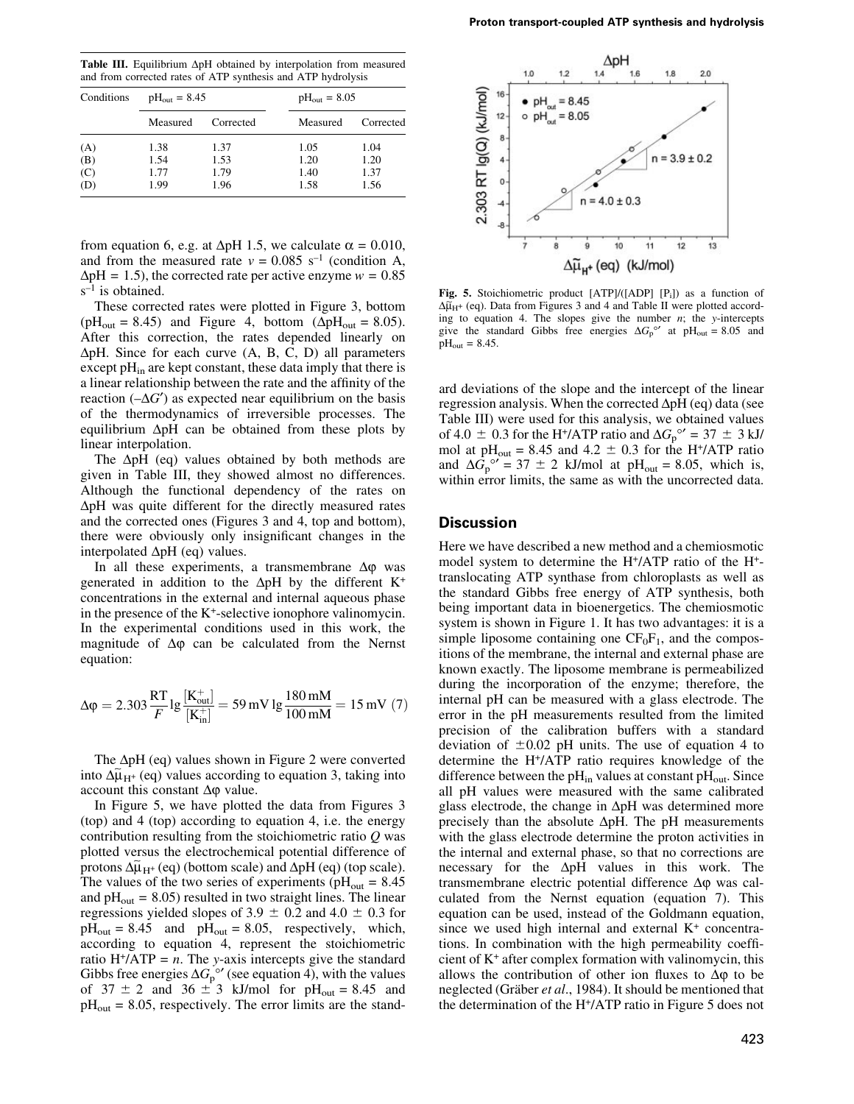Table III. Equilibrium  $\Delta pH$  obtained by interpolation from measured and from corrected rates of ATP synthesis and ATP hydrolysis

| Conditions | $pH_{\text{out}} = 8.45$ |           |          | $pH_{\text{out}} = 8.05$ |  |
|------------|--------------------------|-----------|----------|--------------------------|--|
|            | Measured                 | Corrected | Measured | Corrected                |  |
| (A)        | 1.38                     | 1.37      | 1.05     | 1.04                     |  |
| (B)        | 1.54                     | 1.53      | 1.20     | 1.20                     |  |
| (C)        | 1.77                     | 1.79      | 1.40     | 1.37                     |  |
| (D)        | 1.99                     | 1.96      | 1.58     | 1.56                     |  |

from equation 6, e.g. at  $\Delta pH$  1.5, we calculate  $\alpha = 0.010$ , and from the measured rate  $v = 0.085$  s<sup>-1</sup> (condition A,  $\Delta$ pH = 1.5), the corrected rate per active enzyme  $w = 0.85$  $s^{-1}$  is obtained.

These corrected rates were plotted in Figure 3, bottom ( $pH_{\text{out}} = 8.45$ ) and Figure 4, bottom ( $\Delta pH_{\text{out}} = 8.05$ ). After this correction, the rates depended linearly on  $\Delta p$ H. Since for each curve  $(A, B, C, D)$  all parameters except  $pH_{in}$  are kept constant, these data imply that there is a linear relationship between the rate and the affinity of the reaction  $(-\Delta G')$  as expected near equilibrium on the basis of the thermodynamics of irreversible processes. The equilibrium  $\Delta pH$  can be obtained from these plots by linear interpolation.

The  $\Delta pH$  (eq) values obtained by both methods are given in Table III, they showed almost no differences. Although the functional dependency of the rates on  $\Delta$ pH was quite different for the directly measured rates and the corrected ones (Figures 3 and 4, top and bottom), there were obviously only insignificant changes in the interpolated  $\Delta pH$  (eq) values.

In all these experiments, a transmembrane  $\Delta \varphi$  was generated in addition to the  $\Delta pH$  by the different K<sup>+</sup> concentrations in the external and internal aqueous phase in the presence of the K+-selective ionophore valinomycin. In the experimental conditions used in this work, the magnitude of  $\Delta \varphi$  can be calculated from the Nernst equation:

$$
\Delta \varphi = 2.303 \frac{\text{RT}}{F} \lg \frac{[K_{\text{out}}^+]}{[K_{\text{in}}^+]} = 59 \,\text{mV} \lg \frac{180 \,\text{mM}}{100 \,\text{mM}} = 15 \,\text{mV} \ (7)
$$

The  $\Delta pH$  (eq) values shown in Figure 2 were converted into  $\Delta \tilde{\mu}_{H^{+}}$  (eq) values according to equation 3, taking into account this constant  $\Delta \varphi$  value.

In Figure 5, we have plotted the data from Figures 3 (top) and 4 (top) according to equation 4, i.e. the energy contribution resulting from the stoichiometric ratio  $Q$  was plotted versus the electrochemical potential difference of protons  $\Delta \tilde{\mu}_{H^+}$  (eq) (bottom scale) and  $\Delta pH$  (eq) (top scale). The values of the two series of experiments ( $pH_{out} = 8.45$ ) and  $pH<sub>out</sub> = 8.05$  resulted in two straight lines. The linear regressions yielded slopes of 3.9  $\pm$  0.2 and 4.0  $\pm$  0.3 for  $pH_{\text{out}} = 8.45$  and  $pH_{\text{out}} = 8.05$ , respectively, which, according to equation 4, represent the stoichiometric ratio H<sup>+</sup>/ATP =  $n$ . The y-axis intercepts give the standard Gibbs free energies  $\Delta G_p^{\circ\prime}$  (see equation 4), with the values of  $37 \pm 2$  and  $36 \pm 3$  kJ/mol for pH<sub>out</sub> = 8.45 and  $pH<sub>out</sub> = 8.05$ , respectively. The error limits are the stand-



Fig. 5. Stoichiometric product  $[ATP]/([ADP] [P_i])$  as a function of  $\Delta \tilde{\mu}_{H^+}$  (eq). Data from Figures 3 and 4 and Table II were plotted according to equation 4. The slopes give the number  $n$ ; the y-intercepts give the standard Gibbs free energies  $\Delta G_p^{\circ}$  at pH<sub>out</sub> = 8.05 and  $pH_{\text{out}} = 8.45$ .

ard deviations of the slope and the intercept of the linear regression analysis. When the corrected  $\Delta pH$  (eq) data (see Table III) were used for this analysis, we obtained values of 4.0  $\pm$  0.3 for the H<sup>+</sup>/ATP ratio and  $\Delta G_p^{\circ\prime} = 37 \pm 3$  kJ/ mol at  $pH_{out} = 8.45$  and  $4.2 \pm 0.3$  for the H<sup>+</sup>/ATP ratio and  $\Delta G_p^{\circ\prime} = 37 \pm 2$  kJ/mol at pH<sub>out</sub> = 8.05, which is, within error limits, the same as with the uncorrected data.

### **Discussion**

Here we have described a new method and a chemiosmotic model system to determine the H+/ATP ratio of the H+ translocating ATP synthase from chloroplasts as well as the standard Gibbs free energy of ATP synthesis, both being important data in bioenergetics. The chemiosmotic system is shown in Figure 1. It has two advantages: it is a simple liposome containing one  $CF_0F_1$ , and the compositions of the membrane, the internal and external phase are known exactly. The liposome membrane is permeabilized during the incorporation of the enzyme; therefore, the internal pH can be measured with a glass electrode. The error in the pH measurements resulted from the limited precision of the calibration buffers with a standard deviation of  $\pm 0.02$  pH units. The use of equation 4 to determine the H+/ATP ratio requires knowledge of the difference between the  $pH_{in}$  values at constant  $pH_{out}$ . Since all pH values were measured with the same calibrated glass electrode, the change in  $\Delta pH$  was determined more precisely than the absolute  $\Delta pH$ . The pH measurements with the glass electrode determine the proton activities in the internal and external phase, so that no corrections are necessary for the  $\Delta pH$  values in this work. The transmembrane electric potential difference  $\Delta \varphi$  was calculated from the Nernst equation (equation 7). This equation can be used, instead of the Goldmann equation, since we used high internal and external  $K<sup>+</sup>$  concentrations. In combination with the high permeability coefficient of  $K^+$  after complex formation with valinomycin, this allows the contribution of other ion fluxes to  $\Delta\varphi$  to be neglected (Gräber et al., 1984). It should be mentioned that the determination of the H+/ATP ratio in Figure 5 does not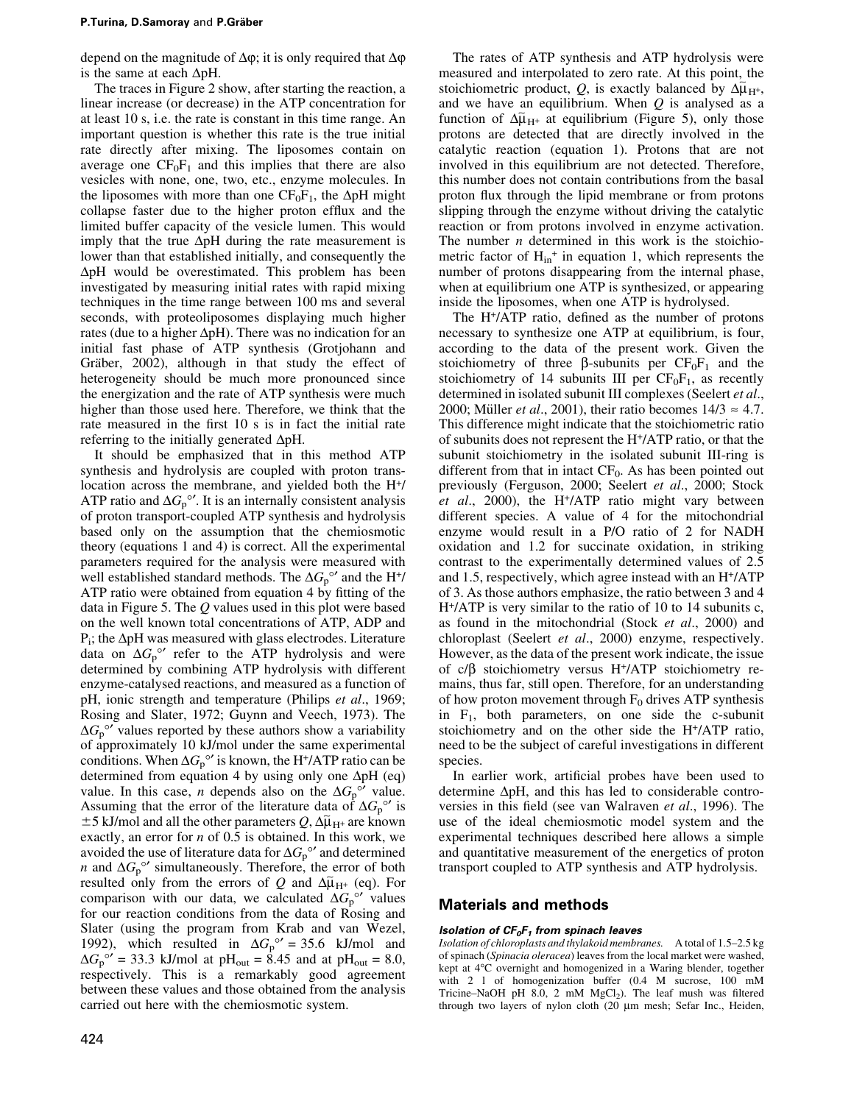depend on the magnitude of  $\Delta \varphi$ ; it is only required that  $\Delta \varphi$ is the same at each  $\Delta pH$ .

The traces in Figure 2 show, after starting the reaction, a linear increase (or decrease) in the ATP concentration for at least 10 s, i.e. the rate is constant in this time range. An important question is whether this rate is the true initial rate directly after mixing. The liposomes contain on average one  $CF_0F_1$  and this implies that there are also vesicles with none, one, two, etc., enzyme molecules. In the liposomes with more than one  $CF_0F_1$ , the  $\Delta pH$  might collapse faster due to the higher proton efflux and the limited buffer capacity of the vesicle lumen. This would imply that the true  $\Delta pH$  during the rate measurement is lower than that established initially, and consequently the  $\Delta pH$  would be overestimated. This problem has been investigated by measuring initial rates with rapid mixing techniques in the time range between 100 ms and several seconds, with proteoliposomes displaying much higher rates (due to a higher  $\Delta pH$ ). There was no indication for an initial fast phase of ATP synthesis (Grotjohann and Gräber, 2002), although in that study the effect of heterogeneity should be much more pronounced since the energization and the rate of ATP synthesis were much higher than those used here. Therefore, we think that the rate measured in the first 10 s is in fact the initial rate referring to the initially generated  $\Delta pH$ .

It should be emphasized that in this method ATP synthesis and hydrolysis are coupled with proton translocation across the membrane, and yielded both the H<sup>+</sup>/ ATP ratio and  $\Delta G_p^{\circ}$ . It is an internally consistent analysis of proton transport-coupled ATP synthesis and hydrolysis based only on the assumption that the chemiosmotic theory (equations 1 and 4) is correct. All the experimental parameters required for the analysis were measured with well established standard methods. The  $\Delta G_p^{\circ}$  and the H<sup>+</sup>/ ATP ratio were obtained from equation 4 by fitting of the data in Figure 5. The  $Q$  values used in this plot were based on the well known total concentrations of ATP, ADP and  $P_i$ ; the  $\Delta pH$  was measured with glass electrodes. Literature data on  $\Delta G_p^{\circ\prime}$  refer to the ATP hydrolysis and were determined by combining ATP hydrolysis with different enzyme-catalysed reactions, and measured as a function of pH, ionic strength and temperature (Philips et al., 1969; Rosing and Slater, 1972; Guynn and Veech, 1973). The  $\Delta G_p^{\circ\circ}$  values reported by these authors show a variability of approximately 10 kJ/mol under the same experimental conditions. When  $\Delta G_p^{\circ\circ}$  is known, the H<sup>+</sup>/ATP ratio can be determined from equation 4 by using only one  $\Delta pH$  (eq) value. In this case, *n* depends also on the  $\Delta G_p^{\circ}$  value. Assuming that the error of the literature data of  $\Delta G_p^{\circ}$  is  $\pm$  5 kJ/mol and all the other parameters Q,  $\Delta \tilde{\mu}_{H^+}$  are known exactly, an error for  $n$  of 0.5 is obtained. In this work, we avoided the use of literature data for  $\Delta G_{\rm p}^{\circ}{}'$  and determined *n* and  $\Delta G_p^{\circ}$ <sup>*o*</sup> simultaneously. Therefore, the error of both resulted only from the errors of Q and  $\Delta \tilde{\mu}_{H^+}$  (eq). For comparison with our data, we calculated  $\Delta G_p^{\circ}$  values for our reaction conditions from the data of Rosing and Slater (using the program from Krab and van Wezel, 1992), which resulted in  $\Delta G_p^{\circ\prime} = 35.6$  kJ/mol and  $\Delta G_p^{\circ\prime}$  = 33.3 kJ/mol at pH<sub>out</sub> = 8.45 and at pH<sub>out</sub> = 8.0, respectively. This is a remarkably good agreement between these values and those obtained from the analysis carried out here with the chemiosmotic system.

The rates of ATP synthesis and ATP hydrolysis were measured and interpolated to zero rate. At this point, the stoichiometric product, Q, is exactly balanced by  $\Delta \tilde{\mu}_{H^+}$ , and we have an equilibrium. When  $Q$  is analysed as a function of  $\Delta \tilde{\mu}_{H^+}$  at equilibrium (Figure 5), only those protons are detected that are directly involved in the catalytic reaction (equation 1). Protons that are not involved in this equilibrium are not detected. Therefore, this number does not contain contributions from the basal proton flux through the lipid membrane or from protons slipping through the enzyme without driving the catalytic reaction or from protons involved in enzyme activation. The number  $n$  determined in this work is the stoichiometric factor of  $H<sub>in</sub><sup>+</sup>$  in equation 1, which represents the number of protons disappearing from the internal phase, when at equilibrium one ATP is synthesized, or appearing inside the liposomes, when one ATP is hydrolysed.

The  $H^*/ATP$  ratio, defined as the number of protons necessary to synthesize one ATP at equilibrium, is four, according to the data of the present work. Given the stoichiometry of three  $\beta$ -subunits per  $CF_0F_1$  and the stoichiometry of 14 subunits III per  $CF_0F_1$ , as recently determined in isolated subunit III complexes (Seelert et al., 2000; Müller *et al.*, 2001), their ratio becomes  $14/3 \approx 4.7$ . This difference might indicate that the stoichiometric ratio of subunits does not represent the H+/ATP ratio, or that the subunit stoichiometry in the isolated subunit III-ring is different from that in intact  $CF_0$ . As has been pointed out previously (Ferguson, 2000; Seelert et al., 2000; Stock et al., 2000), the H<sup>+</sup>/ATP ratio might vary between different species. A value of 4 for the mitochondrial enzyme would result in a P/O ratio of 2 for NADH oxidation and 1.2 for succinate oxidation, in striking contrast to the experimentally determined values of 2.5 and 1.5, respectively, which agree instead with an H+/ATP of 3. As those authors emphasize, the ratio between 3 and 4 H+/ATP is very similar to the ratio of 10 to 14 subunits c, as found in the mitochondrial (Stock et al., 2000) and chloroplast (Seelert et al., 2000) enzyme, respectively. However, as the data of the present work indicate, the issue of  $c/\beta$  stoichiometry versus H<sup>+</sup>/ATP stoichiometry remains, thus far, still open. Therefore, for an understanding of how proton movement through  $F_0$  drives ATP synthesis in  $F_1$ , both parameters, on one side the c-subunit stoichiometry and on the other side the H+/ATP ratio, need to be the subject of careful investigations in different species.

In earlier work, artificial probes have been used to determine  $\Delta pH$ , and this has led to considerable controversies in this field (see van Walraven et al., 1996). The use of the ideal chemiosmotic model system and the experimental techniques described here allows a simple and quantitative measurement of the energetics of proton transport coupled to ATP synthesis and ATP hydrolysis.

# Materials and methods

#### Isolation of  $CF_0F_1$  from spinach leaves

Isolation of chloroplasts and thylakoid membranes. A total of 1.5-2.5 kg of spinach (Spinacia oleracea) leaves from the local market were washed, kept at 4°C overnight and homogenized in a Waring blender, together with 2 l of homogenization buffer (0.4 M sucrose, 100 mM Tricine-NaOH pH 8.0, 2 mM  $MgCl<sub>2</sub>$ ). The leaf mush was filtered through two layers of nylon cloth (20  $\mu$ m mesh; Sefar Inc., Heiden,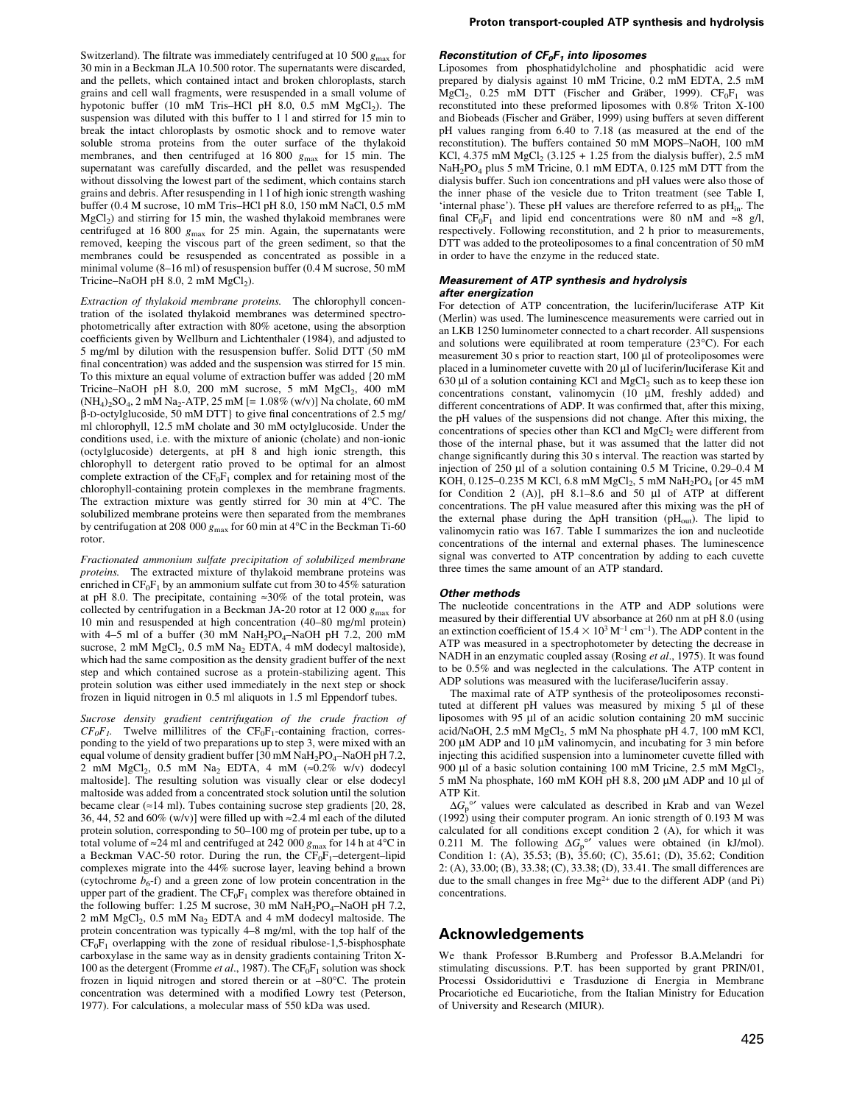Switzerland). The filtrate was immediately centrifuged at 10 500  $g_{\rm max}$  for 30 min in a Beckman JLA 10.500 rotor. The supernatants were discarded, and the pellets, which contained intact and broken chloroplasts, starch grains and cell wall fragments, were resuspended in a small volume of hypotonic buffer (10 mM Tris-HCl pH  $8.0$ , 0.5 mM  $MgCl<sub>2</sub>$ ). The suspension was diluted with this buffer to 1 l and stirred for 15 min to break the intact chloroplasts by osmotic shock and to remove water soluble stroma proteins from the outer surface of the thylakoid membranes, and then centrifuged at 16 800  $g_{\text{max}}$  for 15 min. The supernatant was carefully discarded, and the pellet was resuspended without dissolving the lowest part of the sediment, which contains starch grains and debris. After resuspending in 1 l of high ionic strength washing buffer (0.4 M sucrose, 10 mM Tris-HCl pH 8.0, 150 mM NaCl, 0.5 mM  $MgCl<sub>2</sub>$ ) and stirring for 15 min, the washed thylakoid membranes were centrifuged at 16 800  $g_{\text{max}}$  for 25 min. Again, the supernatants were removed, keeping the viscous part of the green sediment, so that the membranes could be resuspended as concentrated as possible in a minimal volume (8-16 ml) of resuspension buffer (0.4 M sucrose, 50 mM Tricine–NaOH pH 8.0, 2 mM  $Mg\ddot{Cl}_2$ ).

Extraction of thylakoid membrane proteins. The chlorophyll concentration of the isolated thylakoid membranes was determined spectrophotometrically after extraction with 80% acetone, using the absorption coefficients given by Wellburn and Lichtenthaler (1984), and adjusted to 5 mg/ml by dilution with the resuspension buffer. Solid DTT (50 mM final concentration) was added and the suspension was stirred for 15 min. To this mixture an equal volume of extraction buffer was added {20 mM Tricine-NaOH pH 8.0, 200 mM sucrose, 5 mM MgCl<sub>2</sub>, 400 mM  $(NH_4)_2SO_4$ , 2 mM Na<sub>2</sub>-ATP, 25 mM [=  $1.08\%$  (w/v)] Na cholate, 60 mM  $\beta$ -D-octylglucoside, 50 mM DTT} to give final concentrations of 2.5 mg/ ml chlorophyll, 12.5 mM cholate and 30 mM octylglucoside. Under the conditions used, i.e. with the mixture of anionic (cholate) and non-ionic (octylglucoside) detergents, at pH 8 and high ionic strength, this chlorophyll to detergent ratio proved to be optimal for an almost complete extraction of the  $CF_0F_1$  complex and for retaining most of the chlorophyll-containing protein complexes in the membrane fragments. The extraction mixture was gently stirred for 30 min at 4°C. The solubilized membrane proteins were then separated from the membranes by centrifugation at 208 000  $g_{\text{max}}$  for 60 min at 4°C in the Beckman Ti-60 rotor.

Fractionated ammonium sulfate precipitation of solubilized membrane proteins. The extracted mixture of thylakoid membrane proteins was enriched in  $CF_0F_1$  by an ammonium sulfate cut from 30 to 45% saturation at pH 8.0. The precipitate, containing  $\approx 30\%$  of the total protein, was collected by centrifugation in a Beckman JA-20 rotor at 12 000  $g_{\text{max}}$  for 10 min and resuspended at high concentration (40–80 mg/ml protein) with 4-5 ml of a buffer (30 mM  $NaH<sub>2</sub>PO<sub>4</sub>$ -NaOH pH 7.2, 200 mM sucrose,  $2 \text{ mM } MgCl_2$ ,  $0.5 \text{ mM } Na_2$  EDTA,  $4 \text{ mM } d$  dodecyl maltoside), which had the same composition as the density gradient buffer of the next step and which contained sucrose as a protein-stabilizing agent. This protein solution was either used immediately in the next step or shock frozen in liquid nitrogen in 0.5 ml aliquots in 1.5 ml Eppendorf tubes.

Sucrose density gradient centrifugation of the crude fraction of  $CF_0F_1$ . Twelve millilitres of the  $CF_0F_1$ -containing fraction, corresponding to the yield of two preparations up to step 3, were mixed with an equal volume of density gradient buffer [30 mM  $NaH<sub>2</sub>PO<sub>4</sub>$ -NaOH pH 7.2, 2 mM MgCl<sub>2</sub>, 0.5 mM Na<sub>2</sub> EDTA, 4 mM ( $\approx$ 0.2% w/v) dodecyl maltoside]. The resulting solution was visually clear or else dodecyl maltoside was added from a concentrated stock solution until the solution became clear ( $\approx$ 14 ml). Tubes containing sucrose step gradients [20, 28, 36, 44, 52 and 60% (w/v)] were filled up with  $\approx$  2.4 ml each of the diluted protein solution, corresponding to 50–100 mg of protein per tube, up to a total volume of  $\approx$  24 ml and centrifuged at 242 000  $g_{\text{max}}$  for 14 h at 4°C in a Beckman VAC-50 rotor. During the run, the  $CF_0F_1$ -detergent-lipid complexes migrate into the 44% sucrose layer, leaving behind a brown (cytochrome  $b_6$ -f) and a green zone of low protein concentration in the upper part of the gradient. The  $CF_0F_1$  complex was therefore obtained in the following buffer: 1.25 M sucrose, 30 mM  $NaH<sub>2</sub>PO<sub>4</sub>–NaOH pH 7.2$ , 2 mM MgCl2, 0.5 mM Na2 EDTA and 4 mM dodecyl maltoside. The protein concentration was typically 4-8 mg/ml, with the top half of the  $CF_0F_1$  overlapping with the zone of residual ribulose-1,5-bisphosphate carboxylase in the same way as in density gradients containing Triton X-100 as the detergent (Fromme *et al.*, 1987). The  $CF_0F_1$  solution was shock frozen in liquid nitrogen and stored therein or at  $-80^{\circ}$ C. The protein concentration was determined with a modified Lowry test (Peterson, 1977). For calculations, a molecular mass of 550 kDa was used.

#### Reconstitution of  $CF_0F_1$  into liposomes

Liposomes from phosphatidylcholine and phosphatidic acid were prepared by dialysis against 10 mM Tricine, 0.2 mM EDTA, 2.5 mM MgCl<sub>2</sub>, 0.25 mM DTT (Fischer and Gräber, 1999).  $CF_0F_1$  was reconstituted into these preformed liposomes with 0.8% Triton X-100 and Biobeads (Fischer and Gräber, 1999) using buffers at seven different pH values ranging from 6.40 to 7.18 (as measured at the end of the reconstitution). The buffers contained 50 mM MOPS-NaOH, 100 mM KCl, 4.375 mM  $MgCl_2$  (3.125 + 1.25 from the dialysis buffer), 2.5 mM NaH2PO4 plus 5 mM Tricine, 0.1 mM EDTA, 0.125 mM DTT from the dialysis buffer. Such ion concentrations and pH values were also those of the inner phase of the vesicle due to Triton treatment (see Table I, 'internal phase'). These pH values are therefore referred to as  $pH_{in}$ . The final  $CF_0F_1$  and lipid end concentrations were 80 nM and  $\approx 8$  g/l, respectively. Following reconstitution, and 2 h prior to measurements, DTT was added to the proteoliposomes to a final concentration of 50 mM in order to have the enzyme in the reduced state.

#### Measurement of ATP synthesis and hydrolysis after energization

For detection of ATP concentration, the luciferin/luciferase ATP Kit (Merlin) was used. The luminescence measurements were carried out in an LKB 1250 luminometer connected to a chart recorder. All suspensions and solutions were equilibrated at room temperature (23<sup>o</sup>C). For each measurement 30 s prior to reaction start,  $100 \mu l$  of proteoliposomes were placed in a luminometer cuvette with 20  $\mu$ l of luciferin/luciferase Kit and 630  $\mu$ l of a solution containing KCl and MgCl<sub>2</sub> such as to keep these ion concentrations constant, valinomycin (10 µM, freshly added) and different concentrations of ADP. It was confirmed that, after this mixing, the pH values of the suspensions did not change. After this mixing, the concentrations of species other than KCl and  $MgCl<sub>2</sub>$  were different from those of the internal phase, but it was assumed that the latter did not change significantly during this 30 s interval. The reaction was started by injection of 250  $\mu$ l of a solution containing 0.5 M Tricine, 0.29–0.4 M KOH, 0.125-0.235 M KCl, 6.8 mM MgCl<sub>2</sub>, 5 mM NaH<sub>2</sub>PO<sub>4</sub> [or 45 mM for Condition 2 (A)], pH  $8.1-8.6$  and  $50$  µl of ATP at different concentrations. The pH value measured after this mixing was the pH of the external phase during the  $\Delta pH$  transition (pH<sub>out</sub>). The lipid to valinomycin ratio was 167. Table I summarizes the ion and nucleotide concentrations of the internal and external phases. The luminescence signal was converted to ATP concentration by adding to each cuvette three times the same amount of an ATP standard.

#### Other methods

The nucleotide concentrations in the ATP and ADP solutions were measured by their differential UV absorbance at 260 nm at pH 8.0 (using an extinction coefficient of  $15.4 \times 10^3$  M<sup>-1</sup> cm<sup>-1</sup>). The ADP content in the ATP was measured in a spectrophotometer by detecting the decrease in NADH in an enzymatic coupled assay (Rosing et al., 1975). It was found to be 0.5% and was neglected in the calculations. The ATP content in ADP solutions was measured with the luciferase/luciferin assay.

The maximal rate of ATP synthesis of the proteoliposomes reconstituted at different pH values was measured by mixing  $5 \mu l$  of these liposomes with 95  $\mu$ l of an acidic solution containing 20 mM succinic acid/NaOH, 2.5 mM  $MgCl<sub>2</sub>$ , 5 mM Na phosphate pH 4.7, 100 mM KCl,  $200 \mu$ M ADP and 10  $\mu$ M valinomycin, and incubating for 3 min before injecting this acidified suspension into a luminometer cuvette filled with 900 µl of a basic solution containing 100 mM Tricine, 2.5 mM  $MgCl<sub>2</sub>$ , 5 mM Na phosphate, 160 mM KOH pH 8.8, 200  $\mu$ M ADP and 10  $\mu$ l of ATP Kit.

 $\Delta G_p^{\circ}$ <sup>o</sup>' values were calculated as described in Krab and van Wezel (1992) using their computer program. An ionic strength of 0.193 M was calculated for all conditions except condition 2 (A), for which it was 0.211 M. The following  $\Delta G_p^{\circ\prime}$  values were obtained (in kJ/mol). Condition 1: (A), 35.53; (B), 35.60; (C), 35.61; (D), 35.62; Condition 2: (A), 33.00; (B), 33.38; (C), 33.38; (D), 33.41. The small differences are due to the small changes in free Mg2+ due to the different ADP (and Pi) concentrations.

# Acknowledgements

We thank Professor B.Rumberg and Professor B.A.Melandri for stimulating discussions. P.T. has been supported by grant PRIN/01, Processi Ossidoriduttivi e Trasduzione di Energia in Membrane Procariotiche ed Eucariotiche, from the Italian Ministry for Education of University and Research (MIUR).